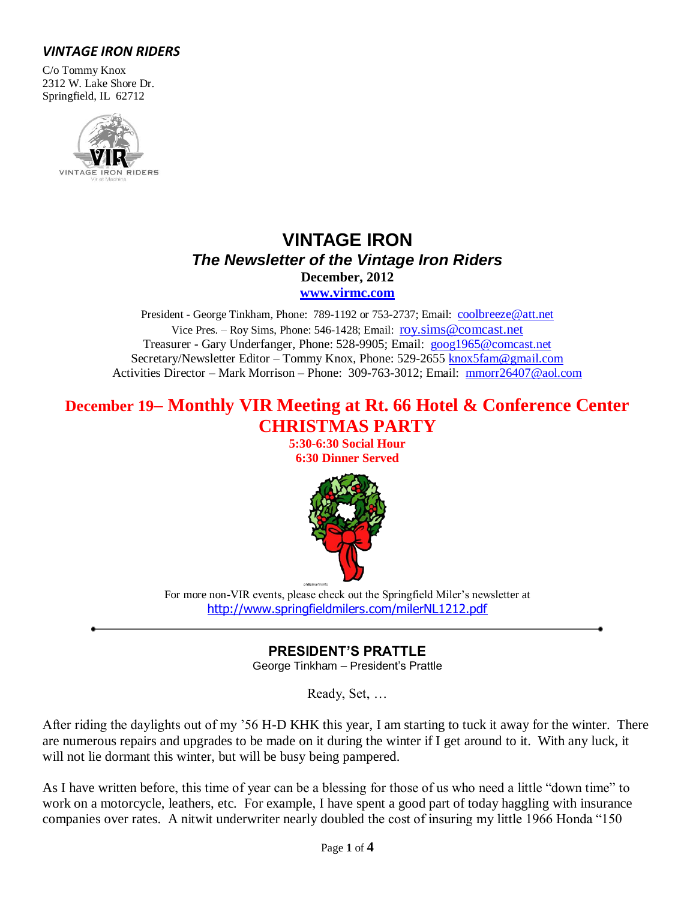# *VINTAGE IRON RIDERS*

C/o Tommy Knox 2312 W. Lake Shore Dr. Springfield, IL 62712



# **VINTAGE IRON** *The Newsletter of the Vintage Iron Riders* **December, 2012**

**[www.virmc.com](http://www.virmc.com/)** 

President - George Tinkham, Phone: 789-1192 or 753-2737; Email: [coolbreeze@att.net](mailto:coolbreeze@att.net) Vice Pres. – Roy Sims, Phone: 546-1428; Email: [roy.sims@comcast.net](mailto:roy.sims@comcast.net) Treasurer - Gary Underfanger, Phone: 528-9905; Email: [goog1965@comcast.net](mailto:goog1965@comcast.net) Secretary/Newsletter Editor – Tommy Knox, Phone: 529-2655 [knox5fam@gmail.com](mailto:knox5fam@gmail.com) Activities Director – Mark Morrison – Phone: 309-763-3012; Email: [mmorr26407@aol.com](mailto:mmorr26407@aol.com)

# **December 19– Monthly VIR Meeting at Rt. 66 Hotel & Conference Center CHRISTMAS PARTY**

**5:30-6:30 Social Hour 6:30 Dinner Served**



For more non-VIR events, please check out the Springfield Miler's newsletter at <http://www.springfieldmilers.com/milerNL1212.pdf>

**PRESIDENT'S PRATTLE**

George Tinkham – President's Prattle

Ready, Set, …

After riding the daylights out of my '56 H-D KHK this year, I am starting to tuck it away for the winter. There are numerous repairs and upgrades to be made on it during the winter if I get around to it. With any luck, it will not lie dormant this winter, but will be busy being pampered.

As I have written before, this time of year can be a blessing for those of us who need a little "down time" to work on a motorcycle, leathers, etc. For example, I have spent a good part of today haggling with insurance companies over rates. A nitwit underwriter nearly doubled the cost of insuring my little 1966 Honda "150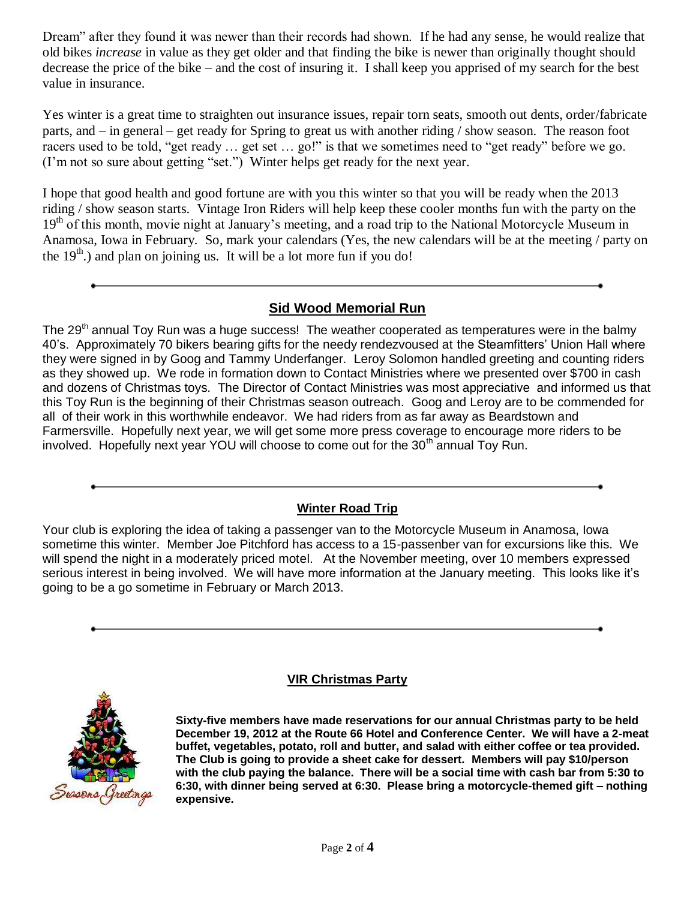Dream" after they found it was newer than their records had shown. If he had any sense, he would realize that old bikes *increase* in value as they get older and that finding the bike is newer than originally thought should decrease the price of the bike – and the cost of insuring it. I shall keep you apprised of my search for the best value in insurance.

Yes winter is a great time to straighten out insurance issues, repair torn seats, smooth out dents, order/fabricate parts, and – in general – get ready for Spring to great us with another riding / show season. The reason foot racers used to be told, "get ready … get set … go!" is that we sometimes need to "get ready" before we go. (I'm not so sure about getting "set.") Winter helps get ready for the next year.

I hope that good health and good fortune are with you this winter so that you will be ready when the 2013 riding / show season starts. Vintage Iron Riders will help keep these cooler months fun with the party on the 19<sup>th</sup> of this month, movie night at January's meeting, and a road trip to the National Motorcycle Museum in Anamosa, Iowa in February. So, mark your calendars (Yes, the new calendars will be at the meeting / party on the  $19<sup>th</sup>$ ) and plan on joining us. It will be a lot more fun if you do!

# **Sid Wood Memorial Run**

The 29<sup>th</sup> annual Toy Run was a huge success! The weather cooperated as temperatures were in the balmy 40's. Approximately 70 bikers bearing gifts for the needy rendezvoused at the Steamfitters' Union Hall where they were signed in by Goog and Tammy Underfanger. Leroy Solomon handled greeting and counting riders as they showed up. We rode in formation down to Contact Ministries where we presented over \$700 in cash and dozens of Christmas toys. The Director of Contact Ministries was most appreciative and informed us that this Toy Run is the beginning of their Christmas season outreach. Goog and Leroy are to be commended for all of their work in this worthwhile endeavor. We had riders from as far away as Beardstown and Farmersville. Hopefully next year, we will get some more press coverage to encourage more riders to be involved. Hopefully next year YOU will choose to come out for the 30<sup>th</sup> annual Toy Run.

# **Winter Road Trip**

Your club is exploring the idea of taking a passenger van to the Motorcycle Museum in Anamosa, Iowa sometime this winter. Member Joe Pitchford has access to a 15-passenber van for excursions like this. We will spend the night in a moderately priced motel. At the November meeting, over 10 members expressed serious interest in being involved. We will have more information at the January meeting. This looks like it's going to be a go sometime in February or March 2013.

# **VIR Christmas Party**



**Sixty-five members have made reservations for our annual Christmas party to be held December 19, 2012 at the Route 66 Hotel and Conference Center. We will have a 2-meat buffet, vegetables, potato, roll and butter, and salad with either coffee or tea provided. The Club is going to provide a sheet cake for dessert. Members will pay \$10/person with the club paying the balance. There will be a social time with cash bar from 5:30 to 6:30, with dinner being served at 6:30. Please bring a motorcycle-themed gift – nothing expensive.**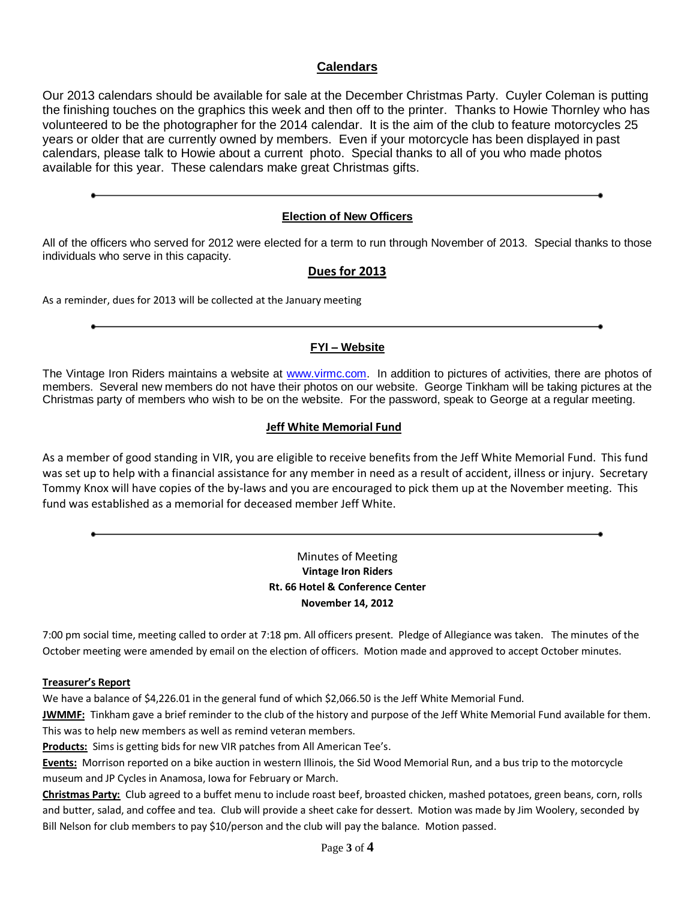## **Calendars**

Our 2013 calendars should be available for sale at the December Christmas Party. Cuyler Coleman is putting the finishing touches on the graphics this week and then off to the printer. Thanks to Howie Thornley who has volunteered to be the photographer for the 2014 calendar. It is the aim of the club to feature motorcycles 25 years or older that are currently owned by members. Even if your motorcycle has been displayed in past calendars, please talk to Howie about a current photo. Special thanks to all of you who made photos available for this year. These calendars make great Christmas gifts.

## **Election of New Officers**

All of the officers who served for 2012 were elected for a term to run through November of 2013. Special thanks to those individuals who serve in this capacity.

## **Dues for 2013**

As a reminder, dues for 2013 will be collected at the January meeting

### **FYI – Website**

The Vintage Iron Riders maintains a website at [www.virmc.com.](http://www.virmc.com/) In addition to pictures of activities, there are photos of members. Several new members do not have their photos on our website. George Tinkham will be taking pictures at the Christmas party of members who wish to be on the website. For the password, speak to George at a regular meeting.

### **Jeff White Memorial Fund**

As a member of good standing in VIR, you are eligible to receive benefits from the Jeff White Memorial Fund. This fund was set up to help with a financial assistance for any member in need as a result of accident, illness or injury. Secretary Tommy Knox will have copies of the by-laws and you are encouraged to pick them up at the November meeting. This fund was established as a memorial for deceased member Jeff White.

## Minutes of Meeting **Vintage Iron Riders Rt. 66 Hotel & Conference Center November 14, 2012**

7:00 pm social time, meeting called to order at 7:18 pm. All officers present. Pledge of Allegiance was taken. The minutes of the October meeting were amended by email on the election of officers. Motion made and approved to accept October minutes.

#### **Treasurer's Report**

We have a balance of \$4,226.01 in the general fund of which \$2,066.50 is the Jeff White Memorial Fund.

**JWMMF:** Tinkham gave a brief reminder to the club of the history and purpose of the Jeff White Memorial Fund available for them. This was to help new members as well as remind veteran members.

**Products:** Sims is getting bids for new VIR patches from All American Tee's.

**Events:** Morrison reported on a bike auction in western Illinois, the Sid Wood Memorial Run, and a bus trip to the motorcycle museum and JP Cycles in Anamosa, Iowa for February or March.

**Christmas Party:** Club agreed to a buffet menu to include roast beef, broasted chicken, mashed potatoes, green beans, corn, rolls and butter, salad, and coffee and tea. Club will provide a sheet cake for dessert. Motion was made by Jim Woolery, seconded by Bill Nelson for club members to pay \$10/person and the club will pay the balance. Motion passed.